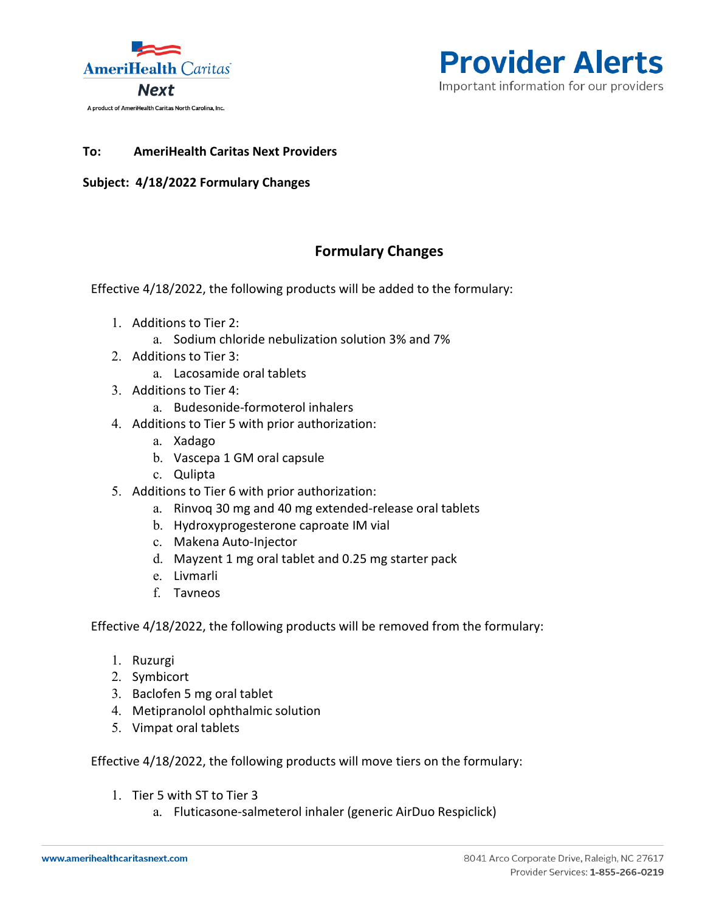



## **To: AmeriHealth Caritas Next Providers**

## **Subject: 4/18/2022 Formulary Changes**

## **Formulary Changes**

Effective 4/18/2022, the following products will be added to the formulary:

- 1. Additions to Tier 2:
	- a. Sodium chloride nebulization solution 3% and 7%
- 2. Additions to Tier 3:
	- a. Lacosamide oral tablets
- 3. Additions to Tier 4:
	- a. Budesonide-formoterol inhalers
- 4. Additions to Tier 5 with prior authorization:
	- a. Xadago
	- b. Vascepa 1 GM oral capsule
	- c. Qulipta
- 5. Additions to Tier 6 with prior authorization:
	- a. Rinvoq 30 mg and 40 mg extended-release oral tablets
	- b. Hydroxyprogesterone caproate IM vial
	- c. Makena Auto-Injector
	- d. Mayzent 1 mg oral tablet and 0.25 mg starter pack
	- e. Livmarli
	- f. Tavneos

Effective 4/18/2022, the following products will be removed from the formulary:

- 1. Ruzurgi
- 2. Symbicort
- 3. Baclofen 5 mg oral tablet
- 4. Metipranolol ophthalmic solution
- 5. Vimpat oral tablets

Effective 4/18/2022, the following products will move tiers on the formulary:

- 1. Tier 5 with ST to Tier 3
	- a. Fluticasone-salmeterol inhaler (generic AirDuo Respiclick)